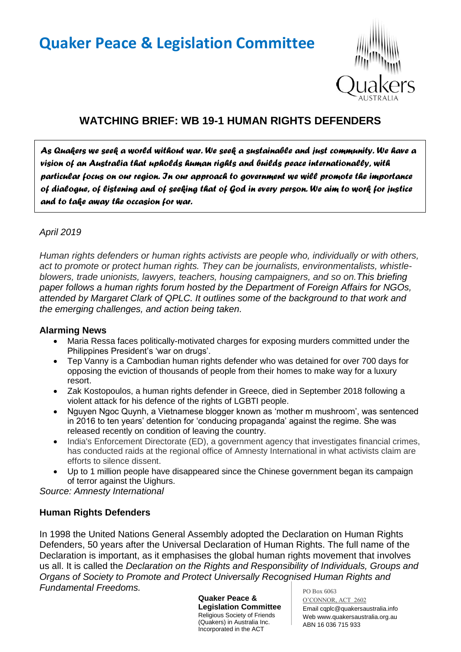# **Quaker Peace & Legislation Committee**



# **WATCHING BRIEF: WB 19-1 HUMAN RIGHTS DEFENDERS**

*As Quakers we seek a world without war. We seek a sustainable and just community. We have a vision of an Australia that upholds human rights and builds peace internationally, with particular focus on our region. In our approach to government we will promote the importance of dialogue, of listening and of seeking that of God in every person. We aim to work for justice and to take away the occasion for war.* 

## *April 2019*

*Human rights defenders or human rights activists are people who, individually or with others, act to promote or protect human rights. They can be journalists, environmentalists, whistleblowers, trade unionists, lawyers, teachers, housing campaigners, and so on.This briefing paper follows a human rights forum hosted by the Department of Foreign Affairs for NGOs, attended by Margaret Clark of QPLC. It outlines some of the background to that work and the emerging challenges, and action being taken.*

#### **Alarming News**

- Maria Ressa faces politically-motivated charges for exposing murders committed under the Philippines President's 'war on drugs'.
- Tep Vanny is a Cambodian human rights defender who was detained for over 700 days for opposing the eviction of thousands of people from their homes to make way for a luxury resort.
- Zak Kostopoulos, a human rights defender in Greece, died in September 2018 following a violent attack for his defence of the rights of LGBTI people.
- Nguyen Ngoc Quynh, a Vietnamese blogger known as 'mother m mushroom', was sentenced in 2016 to ten years' detention for 'conducing propaganda' against the regime. She was released recently on condition of leaving the country.
- India's Enforcement Directorate (ED), a government agency that investigates financial crimes, has conducted raids at the regional office of Amnesty International in what activists claim are efforts to silence dissent.
- Up to 1 million people have disappeared since the Chinese government began its campaign of terror against the Uighurs.

*Source: Amnesty International*

#### **Human Rights Defenders**

In 1998 the United Nations General Assembly adopted the Declaration on Human Rights Defenders, 50 years after the Universal Declaration of Human Rights. The full name of the Declaration is important, as it emphasises the global human rights movement that involves us all. It is called the *Declaration on the Rights and Responsibility of Individuals, Groups and Organs of Society to Promote and Protect Universally Recognised Human Rights and Fundamental Freedoms.* 

> **Quaker Peace & Legislation Committee** Religious Society of Friends (Quakers) in Australia Inc. Incorporated in the ACT

PO Box 6063 O'CONNOR, ACT 2602 Email cqplc@quakersaustralia.info Web www.quakersaustralia.org.au ABN 16 036 715 933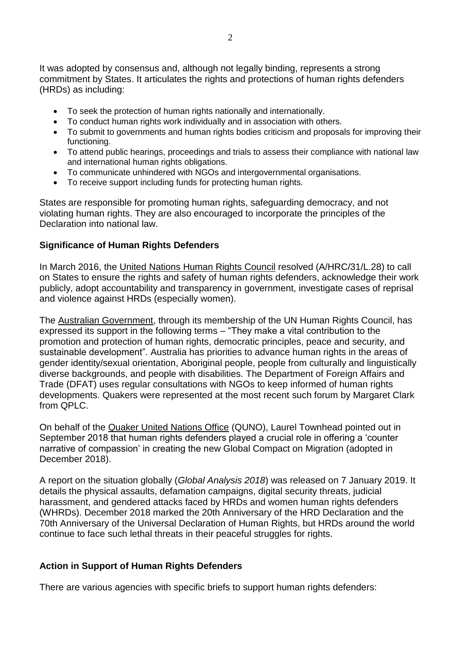It was adopted by consensus and, although not legally binding, represents a strong commitment by States. It articulates the rights and protections of human rights defenders (HRDs) as including:

- To seek the protection of human rights nationally and internationally.
- To conduct human rights work individually and in association with others.
- To submit to governments and human rights bodies criticism and proposals for improving their functioning.
- To attend public hearings, proceedings and trials to assess their compliance with national law and international human rights obligations.
- To communicate unhindered with NGOs and intergovernmental organisations.
- To receive support including funds for protecting human rights.

States are responsible for promoting human rights, safeguarding democracy, and not violating human rights. They are also encouraged to incorporate the principles of the Declaration into national law.

#### **Significance of Human Rights Defenders**

In March 2016, the United Nations Human Rights Council resolved (A/HRC/31/L.28) to call on States to ensure the rights and safety of human rights defenders, acknowledge their work publicly, adopt accountability and transparency in government, investigate cases of reprisal and violence against HRDs (especially women).

The Australian Government, through its membership of the UN Human Rights Council, has expressed its support in the following terms – "They make a vital contribution to the promotion and protection of human rights, democratic principles, peace and security, and sustainable development". Australia has priorities to advance human rights in the areas of gender identity/sexual orientation, Aboriginal people, people from culturally and linguistically diverse backgrounds, and people with disabilities. The Department of Foreign Affairs and Trade (DFAT) uses regular consultations with NGOs to keep informed of human rights developments. Quakers were represented at the most recent such forum by Margaret Clark from QPLC.

On behalf of the Quaker United Nations Office (QUNO), Laurel Townhead pointed out in September 2018 that human rights defenders played a crucial role in offering a 'counter narrative of compassion' in creating the new Global Compact on Migration (adopted in December 2018).

A report on the situation globally (*Global Analysis 2018*) was released on 7 January 2019. It details the physical assaults, defamation campaigns, digital security threats, judicial harassment, and gendered attacks faced by HRDs and women human rights defenders (WHRDs). December 2018 marked the 20th Anniversary of the HRD Declaration and the 70th Anniversary of the Universal Declaration of Human Rights, but HRDs around the world continue to face such lethal threats in their peaceful struggles for rights.

#### **Action in Support of Human Rights Defenders**

There are various agencies with specific briefs to support human rights defenders: